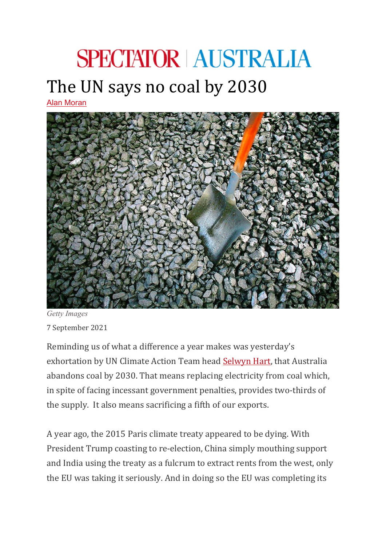## **SPECTATOR AUSTRALIA** The UN says no coal by 2030

[Alan Moran](https://spectator.com.au/author/alanmoran/)



*Getty Images* 7 September 2021

Reminding us of what a difference a year makes was yesterday's exhortation by UN Climate Action Team head [Selwyn Hart,](https://www.wilsoncenter.org/person/ambassador-selwin-hart) that Australia abandons coal by 2030. That means replacing electricity from coal which, in spite of facing incessant government penalties, provides two-thirds of the supply. It also means sacrificing a fifth of our exports.

A year ago, the 2015 Paris climate treaty appeared to be dying. With President Trump coasting to re-election, China simply mouthing support and India using the treaty as a fulcrum to extract rents from the west, only the EU was taking it seriously. And in doing so the EU was completing its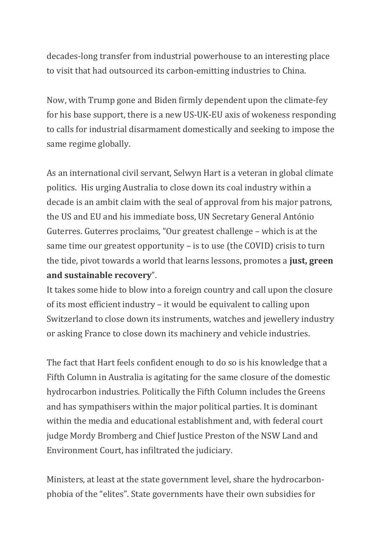decades-long transfer from industrial powerhouse to an interesting place to visit that had outsourced its carbon-emitting industries to China.

Now, with Trump gone and Biden firmly dependent upon the climate-fey for his base support, there is a new US-UK-EU axis of wokeness responding to calls for industrial disarmament domestically and seeking to impose the same regime globally.

As an international civil servant, Selwyn Hart is a veteran in global climate politics. His urging Australia to close down its coal industry within a decade is an ambit claim with the seal of approval from his major patrons, the US and EU and his immediate boss, UN Secretary General António Guterres. Guterres proclaims, "Our greatest challenge – which is at the same time our greatest opportunity – is to use (the COVID) crisis to turn the tide, pivot towards a world that learns lessons, promotes a **just, green and sustainable recovery**".

It takes some hide to blow into a foreign country and call upon the closure of its most efficient industry – it would be equivalent to calling upon Switzerland to close down its instruments, watches and jewellery industry or asking France to close down its machinery and vehicle industries.

The fact that Hart feels confident enough to do so is his knowledge that a Fifth Column in Australia is agitating for the same closure of the domestic hydrocarbon industries. Politically the Fifth Column includes the Greens and has sympathisers within the major political parties. It is dominant within the media and educational establishment and, with federal court judge Mordy Bromberg and Chief Justice Preston of the NSW Land and Environment Court, has infiltrated the judiciary.

Ministers, at least at the state government level, share the hydrocarbonphobia of the "elites". State governments have their own subsidies for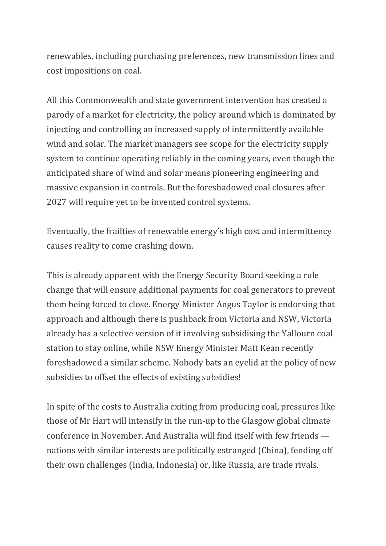renewables, including purchasing preferences, new transmission lines and cost impositions on coal.

All this Commonwealth and state government intervention has created a parody of a market for electricity, the policy around which is dominated by injecting and controlling an increased supply of intermittently available wind and solar. The market managers see scope for the electricity supply system to continue operating reliably in the coming years, even though the anticipated share of wind and solar means pioneering engineering and massive expansion in controls. But the foreshadowed coal closures after 2027 will require yet to be invented control systems.

Eventually, the frailties of renewable energy's high cost and intermittency causes reality to come crashing down.

This is already apparent with the Energy Security Board seeking a rule change that will ensure additional payments for coal generators to prevent them being forced to close. Energy Minister Angus Taylor is endorsing that approach and although there is pushback from Victoria and NSW, Victoria already has a selective version of it involving subsidising the Yallourn coal station to stay online, while NSW Energy Minister Matt Kean recently foreshadowed a similar scheme. Nobody bats an eyelid at the policy of new subsidies to offset the effects of existing subsidies!

In spite of the costs to Australia exiting from producing coal, pressures like those of Mr Hart will intensify in the run-up to the Glasgow global climate conference in November. And Australia will find itself with few friends nations with similar interests are politically estranged (China), fending off their own challenges (India, Indonesia) or, like Russia, are trade rivals.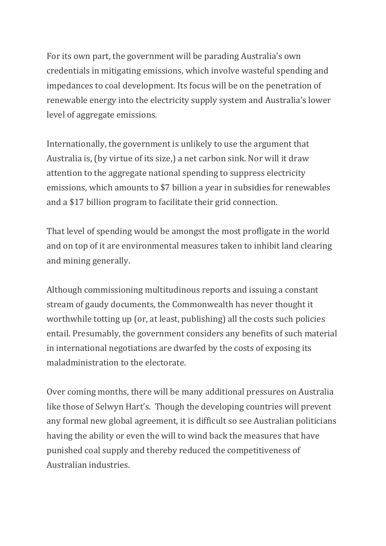For its own part, the government will be parading Australia's own credentials in mitigating emissions, which involve wasteful spending and impedances to coal development. Its focus will be on the penetration of renewable energy into the electricity supply system and Australia's lower level of aggregate emissions.

Internationally, the government is unlikely to use the argument that Australia is, (by virtue of its size,) a net carbon sink. Nor will it draw attention to the aggregate national spending to suppress electricity emissions, which amounts to \$7 billion a year in subsidies for renewables and a \$17 billion program to facilitate their grid connection.

That level of spending would be amongst the most profligate in the world and on top of it are environmental measures taken to inhibit land clearing and mining generally.

Although commissioning multitudinous reports and issuing a constant stream of gaudy documents, the Commonwealth has never thought it worthwhile totting up (or, at least, publishing) all the costs such policies entail. Presumably, the government considers any benefits of such material in international negotiations are dwarfed by the costs of exposing its maladministration to the electorate.

Over coming months, there will be many additional pressures on Australia like those of Selwyn Hart's. Though the developing countries will prevent any formal new global agreement, it is difficult so see Australian politicians having the ability or even the will to wind back the measures that have punished coal supply and thereby reduced the competitiveness of Australian industries.